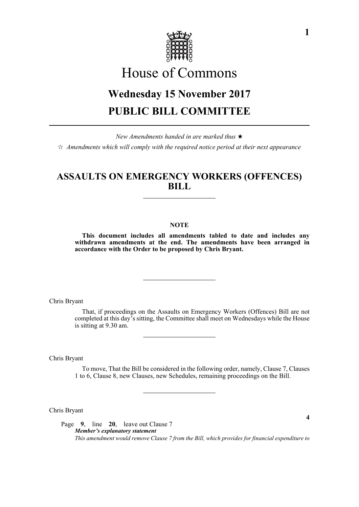

# House of Commons

## **Wednesday 15 November 2017 PUBLIC BILL COMMITTEE**

*New Amendments handed in are marked thus*   $\hat{\varphi}$  Amendments which will comply with the required notice period at their next appearance

### **ASSAULTS ON EMERGENCY WORKERS (OFFENCES) BILL**

#### **NOTE**

**This document includes all amendments tabled to date and includes any withdrawn amendments at the end. The amendments have been arranged in accordance with the Order to be proposed by Chris Bryant.**

Chris Bryant

That, if proceedings on the Assaults on Emergency Workers (Offences) Bill are not completed at this day's sitting, the Committee shall meet on Wednesdays while the House is sitting at 9.30 am.

Chris Bryant

To move, That the Bill be considered in the following order, namely, Clause 7, Clauses 1 to 6, Clause 8, new Clauses, new Schedules, remaining proceedings on the Bill.

Chris Bryant

Page **9**, line **20**, leave out Clause 7 *Member's explanatory statement This amendment would remove Clause 7 from the Bill, which provides for financial expenditure to*

**1**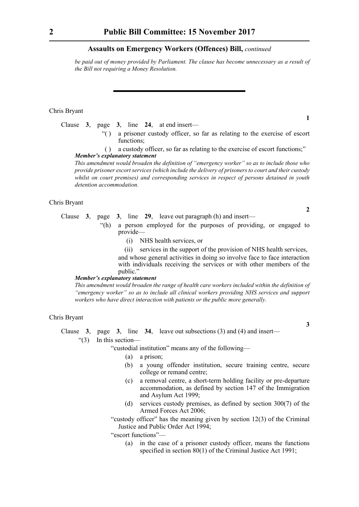#### **Assaults on Emergency Workers (Offences) Bill,** *continued*

*be paid out of money provided by Parliament. The clause has become unnecessary as a result of the Bill not requiring a Money Resolution.*

#### Chris Bryant

- Clause **3**, page **3**, line **24**, at end insert—
	- "( ) a prisoner custody officer, so far as relating to the exercise of escort functions;
	- ( ) a custody officer, so far as relating to the exercise of escort functions;" *Member's explanatory statement*

*This amendment would broaden the definition of "emergency worker" so as to include those who provide prisoner escort services (which include the delivery of prisoners to court and their custody whilst on court premises) and corresponding services in respect of persons detained in youth detention accommodation.*

#### Chris Bryant

Clause **3**, page **3**, line **29**, leave out paragraph (h) and insert—

- "(h) a person employed for the purposes of providing, or engaged to provide—
	- (i) NHS health services, or
	- (ii) services in the support of the provision of NHS health services,

and whose general activities in doing so involve face to face interaction with individuals receiving the services or with other members of the public."

#### *Member's explanatory statement*

*This amendment would broaden the range of health care workers included within the definition of "emergency worker" so as to include all clinical workers providing NHS services and support workers who have direct interaction with patients or the public more generally.*

#### Chris Bryant

Clause **3**, page **3**, line **34**, leave out subsections (3) and (4) and insert—

"(3) In this section—

"custodial institution" means any of the following—

- (a) a prison;
- (b) a young offender institution, secure training centre, secure college or remand centre;
- (c) a removal centre, a short-term holding facility or pre-departure accommodation, as defined by section 147 of the Immigration and Asylum Act 1999;
- (d) services custody premises, as defined by section 300(7) of the Armed Forces Act 2006;
- "custody officer" has the meaning given by section 12(3) of the Criminal Justice and Public Order Act 1994;

"escort functions"—

(a) in the case of a prisoner custody officer, means the functions specified in section 80(1) of the Criminal Justice Act 1991;

**1**

**2**

**3**